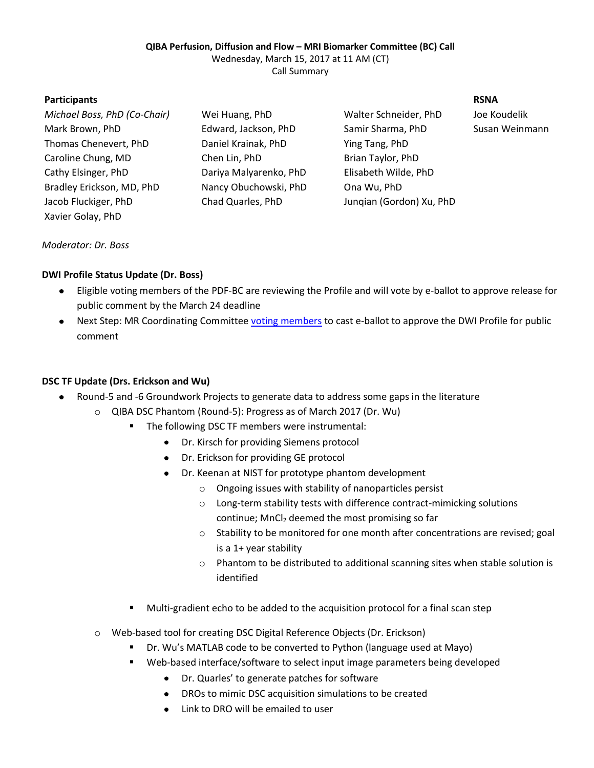#### **QIBA Perfusion, Diffusion and Flow – MRI Biomarker Committee (BC) Call**

Wednesday, March 15, 2017 at 11 AM (CT)

Call Summary

#### **Participants RSNA**

| Wei Huang, PhD         | Walter Schneider, PhD    | Joe Koudelik |
|------------------------|--------------------------|--------------|
| Edward, Jackson, PhD   | Samir Sharma, PhD        | Susan Weinr  |
| Daniel Krainak, PhD    | Ying Tang, PhD           |              |
| Chen Lin, PhD          | Brian Taylor, PhD        |              |
| Dariya Malyarenko, PhD | Elisabeth Wilde, PhD     |              |
| Nancy Obuchowski, PhD  | Ona Wu, PhD              |              |
| Chad Quarles, PhD      | Jungian (Gordon) Xu, PhD |              |
|                        |                          |              |
|                        |                          |              |

Susan Weinmann

# *Moderator: Dr. Boss*

### **DWI Profile Status Update (Dr. Boss)**

- Eligible voting members of the PDF-BC are reviewing the Profile and will vote by e-ballot to approve release for  $\bullet$ public comment by the March 24 deadline
- Next Step: MR Coordinating Committee [voting members](http://qibawiki.rsna.org/images/2/2c/QIBA_MR_CC_Roster.pdf) to cast e-ballot to approve the DWI Profile for public comment

# **DSC TF Update (Drs. Erickson and Wu)**

- Round-5 and -6 Groundwork Projects to generate data to address some gaps in the literature
	- o QIBA DSC Phantom (Round-5): Progress as of March 2017 (Dr. Wu)
		- **The following DSC TF members were instrumental:** 
			- Dr. Kirsch for providing Siemens protocol
			- Dr. Erickson for providing GE protocol
			- Dr. Keenan at NIST for prototype phantom development
				- o Ongoing issues with stability of nanoparticles persist
				- o Long-term stability tests with difference contract-mimicking solutions continue;  $MnCl<sub>2</sub>$  deemed the most promising so far
				- o Stability to be monitored for one month after concentrations are revised; goal is a 1+ year stability
				- o Phantom to be distributed to additional scanning sites when stable solution is identified
		- **Multi-gradient echo to be added to the acquisition protocol for a final scan step**
	- o Web-based tool for creating DSC Digital Reference Objects (Dr. Erickson)
		- Dr. Wu's MATLAB code to be converted to Python (language used at Mayo)
		- Web-based interface/software to select input image parameters being developed
			- Dr. Quarles' to generate patches for software
			- DROs to mimic DSC acquisition simulations to be created
			- Link to DRO will be emailed to user